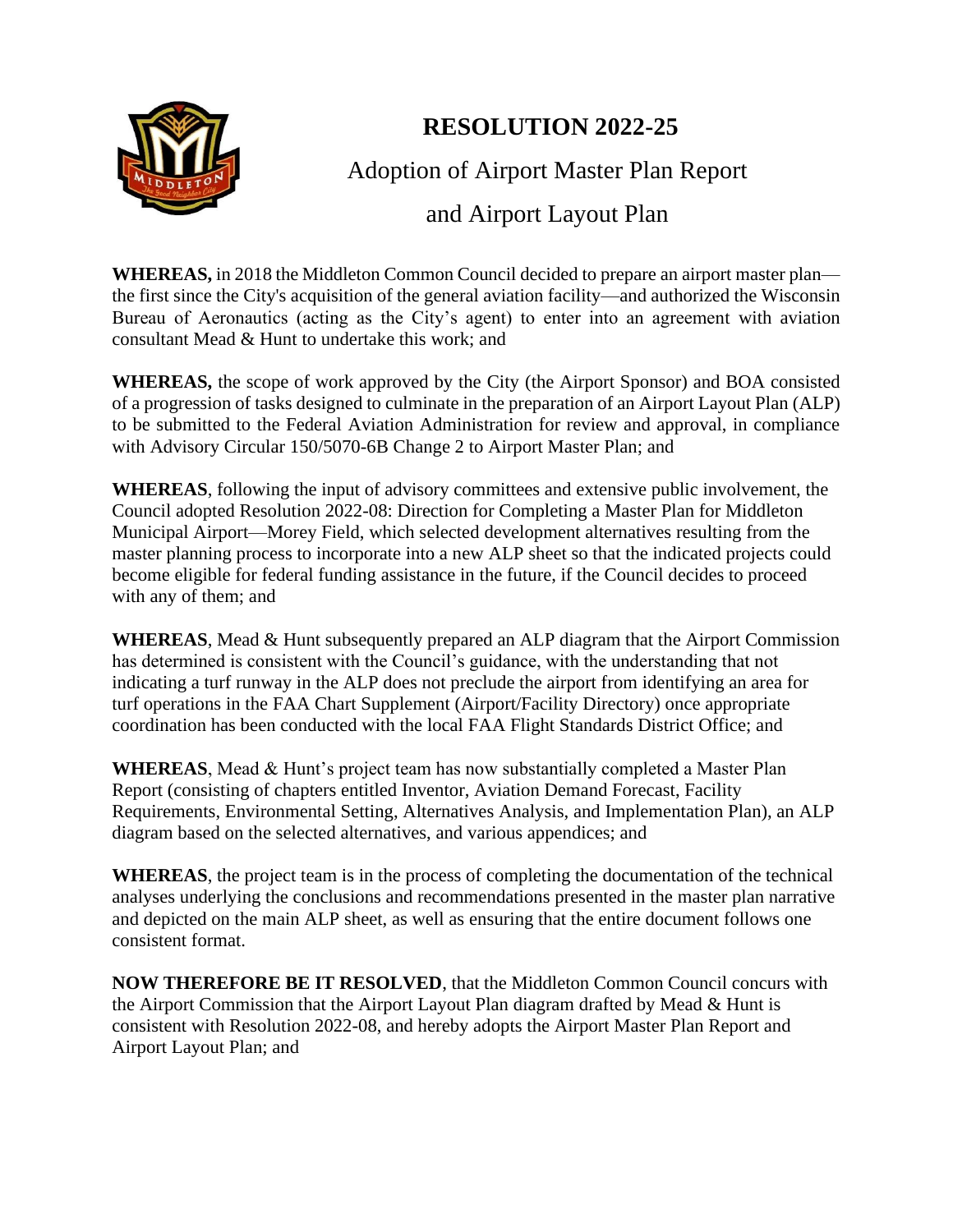

## **RESOLUTION 2022-25**

Adoption of Airport Master Plan Report

## and Airport Layout Plan

**WHEREAS,** in 2018 the Middleton Common Council decided to prepare an airport master plan the first since the City's acquisition of the general aviation facility—and authorized the Wisconsin Bureau of Aeronautics (acting as the City's agent) to enter into an agreement with aviation consultant Mead & Hunt to undertake this work; and

**WHEREAS,** the scope of work approved by the City (the Airport Sponsor) and BOA consisted of a progression of tasks designed to culminate in the preparation of an Airport Layout Plan (ALP) to be submitted to the Federal Aviation Administration for review and approval, in compliance with Advisory Circular 150/5070-6B Change 2 to Airport Master Plan; and

**WHEREAS**, following the input of advisory committees and extensive public involvement, the Council adopted Resolution 2022-08: Direction for Completing a Master Plan for Middleton Municipal Airport—Morey Field, which selected development alternatives resulting from the master planning process to incorporate into a new ALP sheet so that the indicated projects could become eligible for federal funding assistance in the future, if the Council decides to proceed with any of them; and

**WHEREAS**, Mead & Hunt subsequently prepared an ALP diagram that the Airport Commission has determined is consistent with the Council's guidance, with the understanding that not indicating a turf runway in the ALP does not preclude the airport from identifying an area for turf operations in the FAA Chart Supplement (Airport/Facility Directory) once appropriate coordination has been conducted with the local FAA Flight Standards District Office; and

**WHEREAS**, Mead & Hunt's project team has now substantially completed a Master Plan Report (consisting of chapters entitled Inventor, Aviation Demand Forecast, Facility Requirements, Environmental Setting, Alternatives Analysis, and Implementation Plan), an ALP diagram based on the selected alternatives, and various appendices; and

**WHEREAS**, the project team is in the process of completing the documentation of the technical analyses underlying the conclusions and recommendations presented in the master plan narrative and depicted on the main ALP sheet, as well as ensuring that the entire document follows one consistent format.

**NOW THEREFORE BE IT RESOLVED**, that the Middleton Common Council concurs with the Airport Commission that the Airport Layout Plan diagram drafted by Mead & Hunt is consistent with Resolution 2022-08, and hereby adopts the Airport Master Plan Report and Airport Layout Plan; and